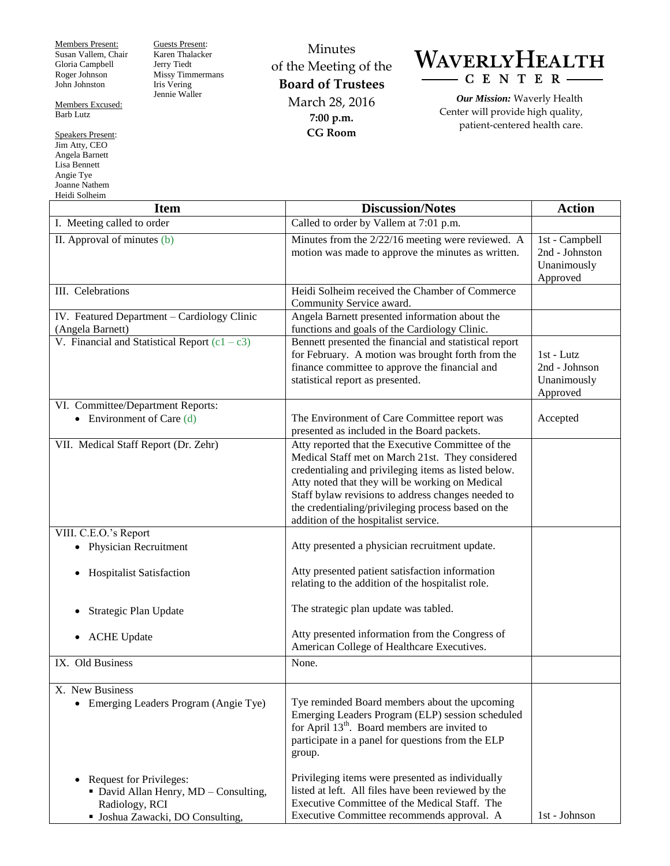Members Present: Susan Vallem, Chair Gloria Campbell Roger Johnson John Johnston

Members Excused: Barb Lutz

Speakers Present: Jim Atty, CEO Angela Barnett Lisa Bennett Angie Tye Joanne Nathem Heidi Solheim

Guests Present: Karen Thalacker Jerry Tiedt Missy Timmermans Iris Vering Jennie Waller

Minutes of the Meeting of the **Board of Trustees** March 28, 2016 **7:00 p.m. CG Room**



*Our Mission:* Waverly Health Center will provide high quality, patient-centered health care.

 $\overline{\phantom{a}}$ 

| <b>Item</b>                                                                                                            | <b>Discussion/Notes</b>                                                                                                                                                                                                                                                                                                                                                                                             | <b>Action</b>                                               |
|------------------------------------------------------------------------------------------------------------------------|---------------------------------------------------------------------------------------------------------------------------------------------------------------------------------------------------------------------------------------------------------------------------------------------------------------------------------------------------------------------------------------------------------------------|-------------------------------------------------------------|
| I. Meeting called to order                                                                                             | Called to order by Vallem at 7:01 p.m.                                                                                                                                                                                                                                                                                                                                                                              |                                                             |
| II. Approval of minutes (b)                                                                                            | Minutes from the 2/22/16 meeting were reviewed. A<br>motion was made to approve the minutes as written.                                                                                                                                                                                                                                                                                                             | 1st - Campbell<br>2nd - Johnston<br>Unanimously<br>Approved |
| III. Celebrations                                                                                                      | Heidi Solheim received the Chamber of Commerce<br>Community Service award.                                                                                                                                                                                                                                                                                                                                          |                                                             |
| IV. Featured Department - Cardiology Clinic<br>(Angela Barnett)                                                        | Angela Barnett presented information about the<br>functions and goals of the Cardiology Clinic.                                                                                                                                                                                                                                                                                                                     |                                                             |
| V. Financial and Statistical Report $(c1 - c3)$                                                                        | Bennett presented the financial and statistical report<br>for February. A motion was brought forth from the<br>finance committee to approve the financial and<br>statistical report as presented.                                                                                                                                                                                                                   | $1st$ - Lutz<br>2nd - Johnson<br>Unanimously<br>Approved    |
| VI. Committee/Department Reports:<br>• Environment of Care $(d)$                                                       | The Environment of Care Committee report was                                                                                                                                                                                                                                                                                                                                                                        | Accepted                                                    |
| VII. Medical Staff Report (Dr. Zehr)                                                                                   | presented as included in the Board packets.<br>Atty reported that the Executive Committee of the<br>Medical Staff met on March 21st. They considered<br>credentialing and privileging items as listed below.<br>Atty noted that they will be working on Medical<br>Staff bylaw revisions to address changes needed to<br>the credentialing/privileging process based on the<br>addition of the hospitalist service. |                                                             |
| VIII. C.E.O.'s Report                                                                                                  |                                                                                                                                                                                                                                                                                                                                                                                                                     |                                                             |
| <b>Physician Recruitment</b>                                                                                           | Atty presented a physician recruitment update.                                                                                                                                                                                                                                                                                                                                                                      |                                                             |
| <b>Hospitalist Satisfaction</b>                                                                                        | Atty presented patient satisfaction information<br>relating to the addition of the hospitalist role.                                                                                                                                                                                                                                                                                                                |                                                             |
| Strategic Plan Update                                                                                                  | The strategic plan update was tabled.                                                                                                                                                                                                                                                                                                                                                                               |                                                             |
| <b>ACHE Update</b>                                                                                                     | Atty presented information from the Congress of<br>American College of Healthcare Executives.                                                                                                                                                                                                                                                                                                                       |                                                             |
| IX. Old Business                                                                                                       | None.                                                                                                                                                                                                                                                                                                                                                                                                               |                                                             |
| X. New Business<br>• Emerging Leaders Program (Angie Tye)                                                              | Tye reminded Board members about the upcoming<br>Emerging Leaders Program (ELP) session scheduled<br>for April $13th$ . Board members are invited to<br>participate in a panel for questions from the ELP<br>group.                                                                                                                                                                                                 |                                                             |
| Request for Privileges:<br>• David Allan Henry, MD - Consulting,<br>Radiology, RCI<br>• Joshua Zawacki, DO Consulting, | Privileging items were presented as individually<br>listed at left. All files have been reviewed by the<br>Executive Committee of the Medical Staff. The<br>Executive Committee recommends approval. A                                                                                                                                                                                                              | 1st - Johnson                                               |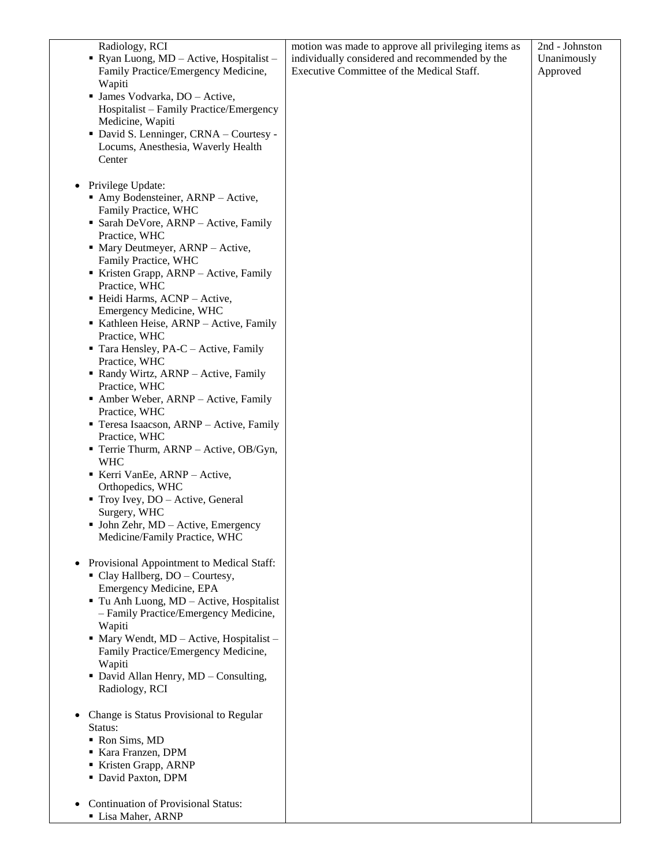| Radiology, RCI<br>Ryan Luong, MD - Active, Hospitalist -                        | motion was made to approve all privileging items as<br>individually considered and recommended by the | 2nd - Johnston<br>Unanimously |
|---------------------------------------------------------------------------------|-------------------------------------------------------------------------------------------------------|-------------------------------|
| Family Practice/Emergency Medicine,<br>Wapiti                                   | Executive Committee of the Medical Staff.                                                             | Approved                      |
| • James Vodvarka, DO - Active,<br>Hospitalist – Family Practice/Emergency       |                                                                                                       |                               |
| Medicine, Wapiti<br>· David S. Lenninger, CRNA - Courtesy -                     |                                                                                                       |                               |
| Locums, Anesthesia, Waverly Health<br>Center                                    |                                                                                                       |                               |
| Privilege Update:<br>$\bullet$                                                  |                                                                                                       |                               |
| • Amy Bodensteiner, ARNP – Active,<br>Family Practice, WHC                      |                                                                                                       |                               |
| • Sarah DeVore, ARNP - Active, Family<br>Practice, WHC                          |                                                                                                       |                               |
| • Mary Deutmeyer, ARNP - Active,<br>Family Practice, WHC                        |                                                                                                       |                               |
| Kristen Grapp, ARNP - Active, Family<br>Practice, WHC                           |                                                                                                       |                               |
| · Heidi Harms, ACNP - Active,                                                   |                                                                                                       |                               |
| Emergency Medicine, WHC<br>Kathleen Heise, ARNP - Active, Family                |                                                                                                       |                               |
| Practice, WHC                                                                   |                                                                                                       |                               |
| Tara Hensley, PA-C - Active, Family<br>Practice, WHC                            |                                                                                                       |                               |
| Randy Wirtz, ARNP - Active, Family<br>Practice, WHC                             |                                                                                                       |                               |
| • Amber Weber, ARNP – Active, Family                                            |                                                                                                       |                               |
| Practice, WHC<br>Teresa Isaacson, ARNP - Active, Family<br>Practice, WHC        |                                                                                                       |                               |
| <b>Terrie Thurm, ARNP</b> – Active, OB/Gyn,<br><b>WHC</b>                       |                                                                                                       |                               |
| Kerri VanEe, ARNP - Active,                                                     |                                                                                                       |                               |
| Orthopedics, WHC<br>Troy Ivey, DO - Active, General                             |                                                                                                       |                               |
| Surgery, WHC                                                                    |                                                                                                       |                               |
| • John Zehr, $MD - Active$ , Emergency<br>Medicine/Family Practice, WHC         |                                                                                                       |                               |
| Provisional Appointment to Medical Staff:                                       |                                                                                                       |                               |
| • Clay Hallberg, DO - Courtesy,<br><b>Emergency Medicine, EPA</b>               |                                                                                                       |                               |
| Tu Anh Luong, MD - Active, Hospitalist<br>- Family Practice/Emergency Medicine, |                                                                                                       |                               |
| Wapiti                                                                          |                                                                                                       |                               |
| • Mary Wendt, MD - Active, Hospitalist -<br>Family Practice/Emergency Medicine, |                                                                                                       |                               |
| Wapiti<br>• David Allan Henry, MD - Consulting,                                 |                                                                                                       |                               |
| Radiology, RCI                                                                  |                                                                                                       |                               |
| Change is Status Provisional to Regular<br>Status:                              |                                                                                                       |                               |
| Ron Sims, MD<br>Kara Franzen, DPM                                               |                                                                                                       |                               |
| Kristen Grapp, ARNP                                                             |                                                                                                       |                               |
| • David Paxton, DPM                                                             |                                                                                                       |                               |
| <b>Continuation of Provisional Status:</b><br>Lisa Maher, ARNP                  |                                                                                                       |                               |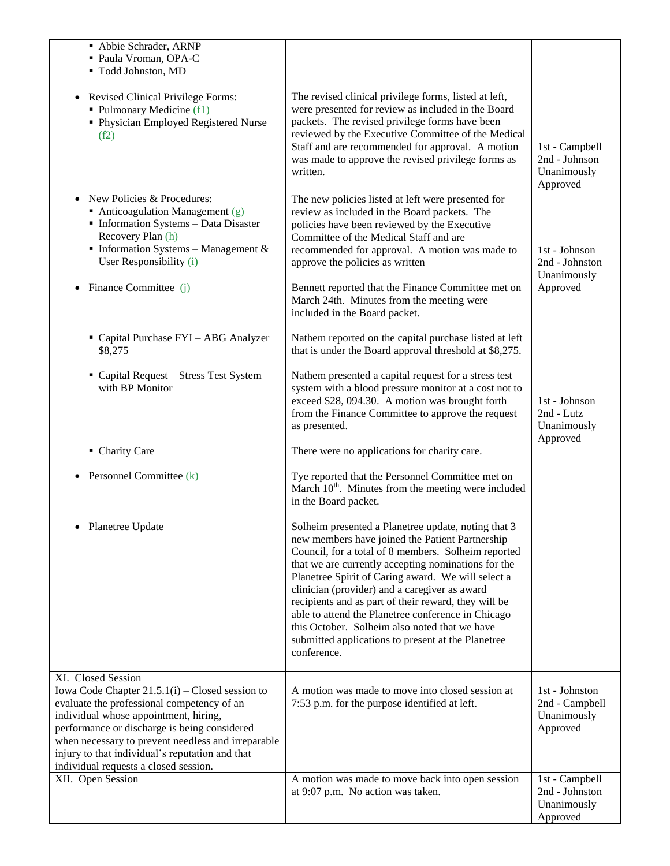| Abbie Schrader, ARNP<br>· Paula Vroman, OPA-C<br>" Todd Johnston, MD                                                                                                                                                                                                                                                                                             |                                                                                                                                                                                                                                                                                                                                                                                                                                                                                                                                                                 |                                                                        |
|------------------------------------------------------------------------------------------------------------------------------------------------------------------------------------------------------------------------------------------------------------------------------------------------------------------------------------------------------------------|-----------------------------------------------------------------------------------------------------------------------------------------------------------------------------------------------------------------------------------------------------------------------------------------------------------------------------------------------------------------------------------------------------------------------------------------------------------------------------------------------------------------------------------------------------------------|------------------------------------------------------------------------|
| Revised Clinical Privilege Forms:<br>• Pulmonary Medicine (f1)<br>• Physician Employed Registered Nurse<br>(f2)                                                                                                                                                                                                                                                  | The revised clinical privilege forms, listed at left,<br>were presented for review as included in the Board<br>packets. The revised privilege forms have been<br>reviewed by the Executive Committee of the Medical<br>Staff and are recommended for approval. A motion<br>was made to approve the revised privilege forms as<br>written.                                                                                                                                                                                                                       | 1st - Campbell<br>2nd - Johnson<br>Unanimously                         |
| New Policies & Procedures:<br>$\bullet$<br>$\blacksquare$ Anticoagulation Management (g)<br>• Information Systems - Data Disaster<br>Recovery Plan (h)<br>Information Systems - Management $&$<br>User Responsibility (i)<br>Finance Committee (j)                                                                                                               | The new policies listed at left were presented for<br>review as included in the Board packets. The<br>policies have been reviewed by the Executive<br>Committee of the Medical Staff and are<br>recommended for approval. A motion was made to<br>approve the policies as written<br>Bennett reported that the Finance Committee met on<br>March 24th. Minutes from the meeting were<br>included in the Board packet.                                                                                                                                           | Approved<br>1st - Johnson<br>2nd - Johnston<br>Unanimously<br>Approved |
| Capital Purchase FYI - ABG Analyzer<br>\$8,275                                                                                                                                                                                                                                                                                                                   | Nathem reported on the capital purchase listed at left<br>that is under the Board approval threshold at \$8,275.                                                                                                                                                                                                                                                                                                                                                                                                                                                |                                                                        |
| • Capital Request - Stress Test System<br>with BP Monitor                                                                                                                                                                                                                                                                                                        | Nathem presented a capital request for a stress test<br>system with a blood pressure monitor at a cost not to<br>exceed \$28, 094.30. A motion was brought forth<br>from the Finance Committee to approve the request<br>as presented.                                                                                                                                                                                                                                                                                                                          | 1st - Johnson<br>2nd - Lutz<br>Unanimously<br>Approved                 |
| • Charity Care                                                                                                                                                                                                                                                                                                                                                   | There were no applications for charity care.                                                                                                                                                                                                                                                                                                                                                                                                                                                                                                                    |                                                                        |
| Personnel Committee (k)                                                                                                                                                                                                                                                                                                                                          | Tye reported that the Personnel Committee met on<br>March 10 <sup>th</sup> . Minutes from the meeting were included<br>in the Board packet.                                                                                                                                                                                                                                                                                                                                                                                                                     |                                                                        |
| Planetree Update                                                                                                                                                                                                                                                                                                                                                 | Solheim presented a Planetree update, noting that 3<br>new members have joined the Patient Partnership<br>Council, for a total of 8 members. Solheim reported<br>that we are currently accepting nominations for the<br>Planetree Spirit of Caring award. We will select a<br>clinician (provider) and a caregiver as award<br>recipients and as part of their reward, they will be<br>able to attend the Planetree conference in Chicago<br>this October. Solheim also noted that we have<br>submitted applications to present at the Planetree<br>conference. |                                                                        |
| XI. Closed Session<br>Iowa Code Chapter $21.5.1(i)$ – Closed session to<br>evaluate the professional competency of an<br>individual whose appointment, hiring,<br>performance or discharge is being considered<br>when necessary to prevent needless and irreparable<br>injury to that individual's reputation and that<br>individual requests a closed session. | A motion was made to move into closed session at<br>7:53 p.m. for the purpose identified at left.                                                                                                                                                                                                                                                                                                                                                                                                                                                               | 1st - Johnston<br>2nd - Campbell<br>Unanimously<br>Approved            |
| XII. Open Session                                                                                                                                                                                                                                                                                                                                                | A motion was made to move back into open session<br>at 9:07 p.m. No action was taken.                                                                                                                                                                                                                                                                                                                                                                                                                                                                           | 1st - Campbell<br>2nd - Johnston<br>Unanimously<br>Approved            |